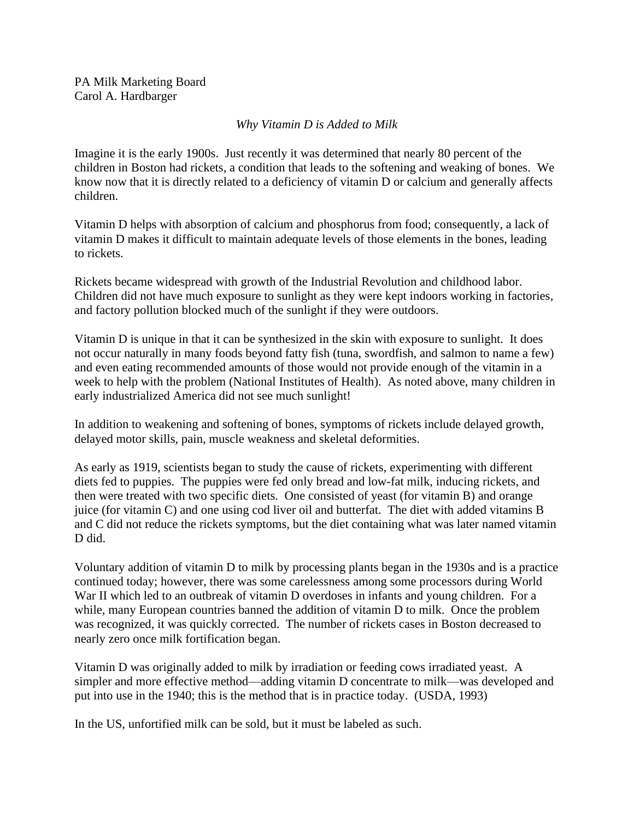PA Milk Marketing Board Carol A. Hardbarger

## *Why Vitamin D is Added to Milk*

Imagine it is the early 1900s. Just recently it was determined that nearly 80 percent of the children in Boston had rickets, a condition that leads to the softening and weaking of bones. We know now that it is directly related to a deficiency of vitamin D or calcium and generally affects children.

Vitamin D helps with absorption of calcium and phosphorus from food; consequently, a lack of vitamin D makes it difficult to maintain adequate levels of those elements in the bones, leading to rickets.

Rickets became widespread with growth of the Industrial Revolution and childhood labor. Children did not have much exposure to sunlight as they were kept indoors working in factories, and factory pollution blocked much of the sunlight if they were outdoors.

Vitamin D is unique in that it can be synthesized in the skin with exposure to sunlight. It does not occur naturally in many foods beyond fatty fish (tuna, swordfish, and salmon to name a few) and even eating recommended amounts of those would not provide enough of the vitamin in a week to help with the problem (National Institutes of Health). As noted above, many children in early industrialized America did not see much sunlight!

In addition to weakening and softening of bones, symptoms of rickets include delayed growth, delayed motor skills, pain, muscle weakness and skeletal deformities.

As early as 1919, scientists began to study the cause of rickets, experimenting with different diets fed to puppies. The puppies were fed only bread and low-fat milk, inducing rickets, and then were treated with two specific diets. One consisted of yeast (for vitamin B) and orange juice (for vitamin C) and one using cod liver oil and butterfat. The diet with added vitamins B and C did not reduce the rickets symptoms, but the diet containing what was later named vitamin D did.

Voluntary addition of vitamin D to milk by processing plants began in the 1930s and is a practice continued today; however, there was some carelessness among some processors during World War II which led to an outbreak of vitamin D overdoses in infants and young children. For a while, many European countries banned the addition of vitamin D to milk. Once the problem was recognized, it was quickly corrected. The number of rickets cases in Boston decreased to nearly zero once milk fortification began.

Vitamin D was originally added to milk by irradiation or feeding cows irradiated yeast. A simpler and more effective method—adding vitamin D concentrate to milk—was developed and put into use in the 1940; this is the method that is in practice today. (USDA, 1993)

In the US, unfortified milk can be sold, but it must be labeled as such.